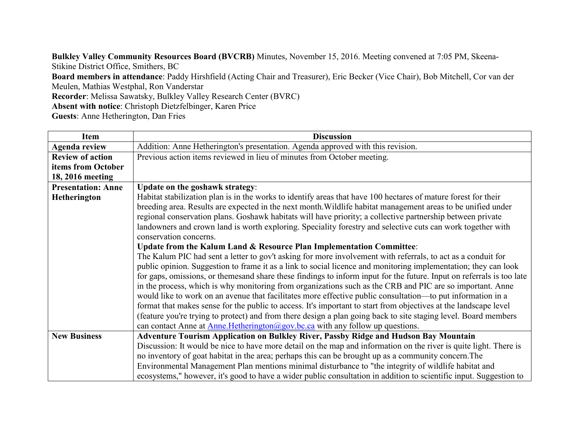**Bulkley Valley Community Resources Board (BVCRB)** Minutes, November 15, 2016. Meeting convened at 7:05 PM, Skeena-Stikine District Office, Smithers, BC **Board members in attendance**: Paddy Hirshfield (Acting Chair and Treasurer), Eric Becker (Vice Chair), Bob Mitchell, Cor van der Meulen, Mathias Westphal, Ron Vanderstar **Recorder**: Melissa Sawatsky, Bulkley Valley Research Center (BVRC) **Absent with notice**: Christoph Dietzfelbinger, Karen Price **Guests**: Anne Hetherington, Dan Fries

| Item                      | <b>Discussion</b>                                                                                                     |
|---------------------------|-----------------------------------------------------------------------------------------------------------------------|
| <b>Agenda review</b>      | Addition: Anne Hetherington's presentation. Agenda approved with this revision.                                       |
| <b>Review of action</b>   | Previous action items reviewed in lieu of minutes from October meeting.                                               |
| items from October        |                                                                                                                       |
| 18, 2016 meeting          |                                                                                                                       |
| <b>Presentation: Anne</b> | Update on the goshawk strategy:                                                                                       |
| Hetherington              | Habitat stabilization plan is in the works to identify areas that have 100 hectares of mature forest for their        |
|                           | breeding area. Results are expected in the next month. Wildlife habitat management areas to be unified under          |
|                           | regional conservation plans. Goshawk habitats will have priority; a collective partnership between private            |
|                           | landowners and crown land is worth exploring. Speciality forestry and selective cuts can work together with           |
|                           | conservation concerns.                                                                                                |
|                           | Update from the Kalum Land & Resource Plan Implementation Committee:                                                  |
|                           | The Kalum PIC had sent a letter to gov't asking for more involvement with referrals, to act as a conduit for          |
|                           | public opinion. Suggestion to frame it as a link to social licence and monitoring implementation; they can look       |
|                           | for gaps, omissions, or themesand share these findings to inform input for the future. Input on referrals is too late |
|                           | in the process, which is why monitoring from organizations such as the CRB and PIC are so important. Anne             |
|                           | would like to work on an avenue that facilitates more effective public consultation—to put information in a           |
|                           | format that makes sense for the public to access. It's important to start from objectives at the landscape level      |
|                           | (feature you're trying to protect) and from there design a plan going back to site staging level. Board members       |
|                           | can contact Anne at $\Delta$ nne. Hetherington@gov. bc. ca with any follow up questions.                              |
| <b>New Business</b>       | <b>Adventure Tourism Application on Bulkley River, Passby Ridge and Hudson Bay Mountain</b>                           |
|                           | Discussion: It would be nice to have more detail on the map and information on the river is quite light. There is     |
|                           | no inventory of goat habitat in the area; perhaps this can be brought up as a community concern. The                  |
|                           | Environmental Management Plan mentions minimal disturbance to "the integrity of wildlife habitat and                  |
|                           | ecosystems," however, it's good to have a wider public consultation in addition to scientific input. Suggestion to    |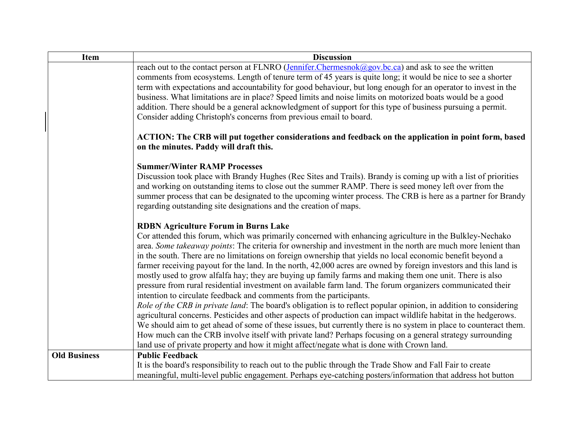| Item                | <b>Discussion</b>                                                                                                                                                                        |
|---------------------|------------------------------------------------------------------------------------------------------------------------------------------------------------------------------------------|
|                     | reach out to the contact person at FLNRO (Jennifer.Chermesnok@gov.bc.ca) and ask to see the written                                                                                      |
|                     | comments from ecosystems. Length of tenure term of 45 years is quite long; it would be nice to see a shorter                                                                             |
|                     | term with expectations and accountability for good behaviour, but long enough for an operator to invest in the                                                                           |
|                     | business. What limitations are in place? Speed limits and noise limits on motorized boats would be a good                                                                                |
|                     | addition. There should be a general acknowledgment of support for this type of business pursuing a permit.                                                                               |
|                     | Consider adding Christoph's concerns from previous email to board.                                                                                                                       |
|                     | ACTION: The CRB will put together considerations and feedback on the application in point form, based<br>on the minutes. Paddy will draft this.                                          |
|                     | <b>Summer/Winter RAMP Processes</b>                                                                                                                                                      |
|                     | Discussion took place with Brandy Hughes (Rec Sites and Trails). Brandy is coming up with a list of priorities                                                                           |
|                     | and working on outstanding items to close out the summer RAMP. There is seed money left over from the                                                                                    |
|                     | summer process that can be designated to the upcoming winter process. The CRB is here as a partner for Brandy<br>regarding outstanding site designations and the creation of maps.       |
|                     |                                                                                                                                                                                          |
|                     | <b>RDBN Agriculture Forum in Burns Lake</b>                                                                                                                                              |
|                     | Cor attended this forum, which was primarily concerned with enhancing agriculture in the Bulkley-Nechako                                                                                 |
|                     | area. Some takeaway points: The criteria for ownership and investment in the north are much more lenient than                                                                            |
|                     | in the south. There are no limitations on foreign ownership that yields no local economic benefit beyond a                                                                               |
|                     | farmer receiving payout for the land. In the north, 42,000 acres are owned by foreign investors and this land is                                                                         |
|                     | mostly used to grow alfalfa hay; they are buying up family farms and making them one unit. There is also                                                                                 |
|                     | pressure from rural residential investment on available farm land. The forum organizers communicated their                                                                               |
|                     | intention to circulate feedback and comments from the participants.<br>Role of the CRB in private land: The board's obligation is to reflect popular opinion, in addition to considering |
|                     | agricultural concerns. Pesticides and other aspects of production can impact wildlife habitat in the hedgerows.                                                                          |
|                     | We should aim to get ahead of some of these issues, but currently there is no system in place to counteract them.                                                                        |
|                     | How much can the CRB involve itself with private land? Perhaps focusing on a general strategy surrounding                                                                                |
|                     | land use of private property and how it might affect/negate what is done with Crown land.                                                                                                |
| <b>Old Business</b> | <b>Public Feedback</b>                                                                                                                                                                   |
|                     | It is the board's responsibility to reach out to the public through the Trade Show and Fall Fair to create                                                                               |
|                     | meaningful, multi-level public engagement. Perhaps eye-catching posters/information that address hot button                                                                              |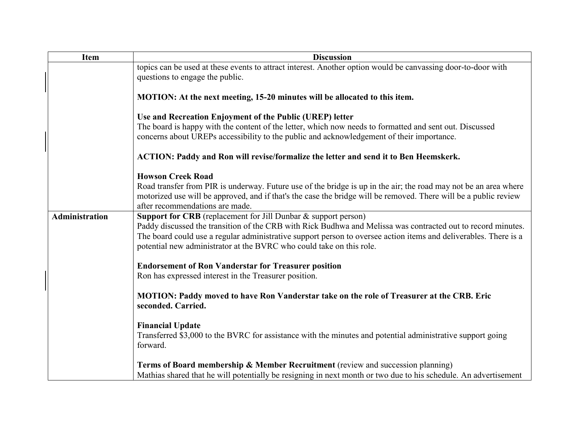| <b>Item</b>           | <b>Discussion</b>                                                                                                                                                                                                                |
|-----------------------|----------------------------------------------------------------------------------------------------------------------------------------------------------------------------------------------------------------------------------|
|                       | topics can be used at these events to attract interest. Another option would be canvassing door-to-door with                                                                                                                     |
|                       | questions to engage the public.                                                                                                                                                                                                  |
|                       |                                                                                                                                                                                                                                  |
|                       | MOTION: At the next meeting, 15-20 minutes will be allocated to this item.                                                                                                                                                       |
|                       | Use and Recreation Enjoyment of the Public (UREP) letter                                                                                                                                                                         |
|                       | The board is happy with the content of the letter, which now needs to formatted and sent out. Discussed                                                                                                                          |
|                       | concerns about UREPs accessibility to the public and acknowledgement of their importance.                                                                                                                                        |
|                       |                                                                                                                                                                                                                                  |
|                       | ACTION: Paddy and Ron will revise/formalize the letter and send it to Ben Heemskerk.                                                                                                                                             |
|                       | <b>Howson Creek Road</b>                                                                                                                                                                                                         |
|                       | Road transfer from PIR is underway. Future use of the bridge is up in the air; the road may not be an area where                                                                                                                 |
|                       | motorized use will be approved, and if that's the case the bridge will be removed. There will be a public review                                                                                                                 |
|                       | after recommendations are made.                                                                                                                                                                                                  |
| <b>Administration</b> | Support for CRB (replacement for Jill Dunbar & support person)                                                                                                                                                                   |
|                       | Paddy discussed the transition of the CRB with Rick Budhwa and Melissa was contracted out to record minutes.<br>The board could use a regular administrative support person to oversee action items and deliverables. There is a |
|                       | potential new administrator at the BVRC who could take on this role.                                                                                                                                                             |
|                       |                                                                                                                                                                                                                                  |
|                       | <b>Endorsement of Ron Vanderstar for Treasurer position</b>                                                                                                                                                                      |
|                       | Ron has expressed interest in the Treasurer position.                                                                                                                                                                            |
|                       |                                                                                                                                                                                                                                  |
|                       | MOTION: Paddy moved to have Ron Vanderstar take on the role of Treasurer at the CRB. Eric<br>seconded. Carried.                                                                                                                  |
|                       |                                                                                                                                                                                                                                  |
|                       | <b>Financial Update</b>                                                                                                                                                                                                          |
|                       | Transferred \$3,000 to the BVRC for assistance with the minutes and potential administrative support going                                                                                                                       |
|                       | forward.                                                                                                                                                                                                                         |
|                       |                                                                                                                                                                                                                                  |
|                       | Terms of Board membership & Member Recruitment (review and succession planning)<br>Mathias shared that he will potentially be resigning in next month or two due to his schedule. An advertisement                               |